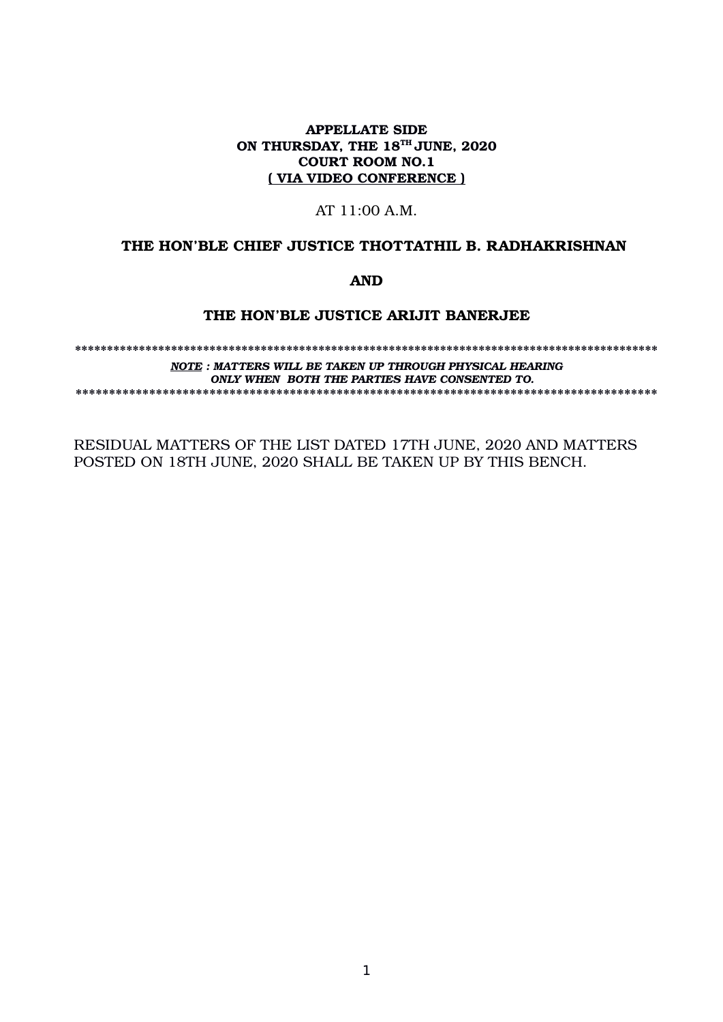## APPELLATE SIDE ON THURSDAY, THE 18<sup>TH</sup> JUNE, 2020 COURT ROOM NO.1 ( VIA VIDEO CONFERENCE )

# AT 11:00 A.M.

## THE HON'BLE CHIEF JUSTICE THOTTATHIL B. RADHAKRISHNAN

AND

# THE HON'BLE JUSTICE ARIJIT BANERJEE

\*\*\*\*\*\*\*\*\*\*\*\*\*\*\*\*\*\*\*\*\*\*\*\*\*\*\*\*\*\*\*\*\*\*\*\*\*\*\*\*\*\*\*\*\*\*\*\*\*\*\*\*\*\*\*\*\*\*\*\*\*\*\*\*\*\*\*\*\*\*\*\*\*\*\*\*\*\*\*\*\*\*\*\*\*\*\*\*\*\*\* *NOTE : MATTERS WILL BE TAKEN UP THROUGH PHYSICAL HEARING ONLY WHEN BOTH THE PARTIES HAVE CONSENTED TO.* \*\*\*\*\*\*\*\*\*\*\*\*\*\*\*\*\*\*\*\*\*\*\*\*\*\*\*\*\*\*\*\*\*\*\*\*\*\*\*\*\*\*\*\*\*\*\*\*\*\*\*\*\*\*\*\*\*\*\*\*\*\*\*\*\*\*\*\*\*\*\*\*\*\*\*\*\*\*\*\*\*\*\*\*\*\*\*

RESIDUAL MATTERS OF THE LIST DATED 17TH JUNE, 2020 AND MATTERS POSTED ON 18TH JUNE, 2020 SHALL BE TAKEN UP BY THIS BENCH.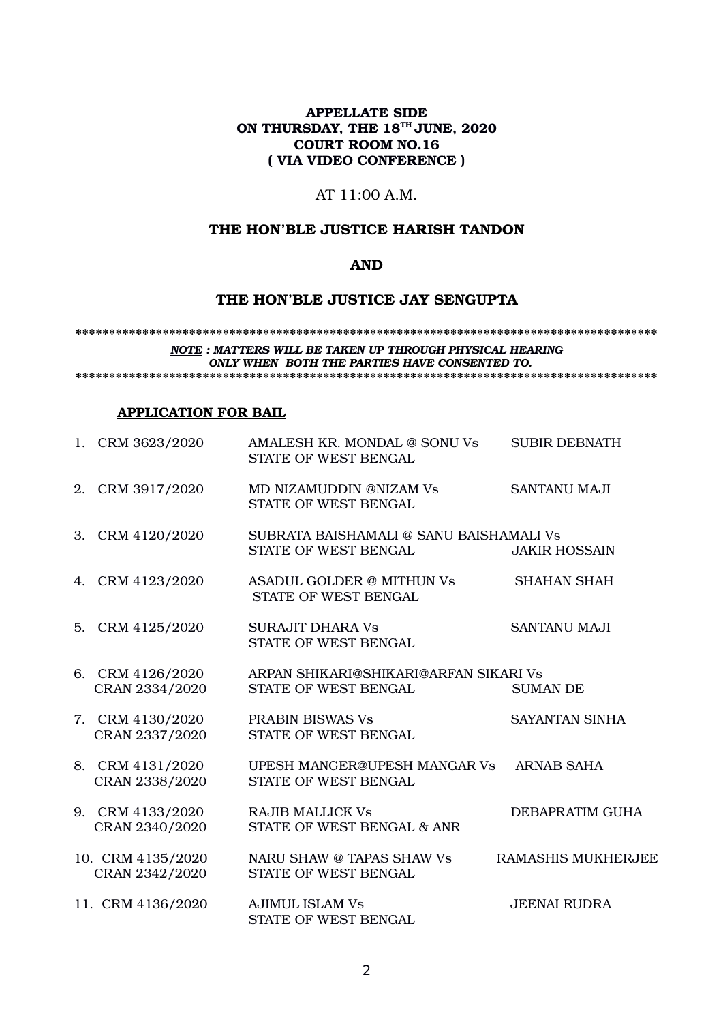# APPELLATE SIDE ON THURSDAY, THE 18<sup>TH</sup> JUNE, 2020 COURT ROOM NO.16 ( VIA VIDEO CONFERENCE )

# AT 11:00 A.M.

### THE HON'BLE JUSTICE HARISH TANDON

# AND

## THE HON'BLE JUSTICE JAY SENGUPTA

\*\*\*\*\*\*\*\*\*\*\*\*\*\*\*\*\*\*\*\*\*\*\*\*\*\*\*\*\*\*\*\*\*\*\*\*\*\*\*\*\*\*\*\*\*\*\*\*\*\*\*\*\*\*\*\*\*\*\*\*\*\*\*\*\*\*\*\*\*\*\*\*\*\*\*\*\*\*\*\*\*\*\*\*\*\*\*

*NOTE : MATTERS WILL BE TAKEN UP THROUGH PHYSICAL HEARING ONLY WHEN BOTH THE PARTIES HAVE CONSENTED TO.*

\*\*\*\*\*\*\*\*\*\*\*\*\*\*\*\*\*\*\*\*\*\*\*\*\*\*\*\*\*\*\*\*\*\*\*\*\*\*\*\*\*\*\*\*\*\*\*\*\*\*\*\*\*\*\*\*\*\*\*\*\*\*\*\*\*\*\*\*\*\*\*\*\*\*\*\*\*\*\*\*\*\*\*\*\*\*\*

### APPLICATION FOR BAIL

| 1. CRM 3623/2020                    | AMALESH KR. MONDAL @ SONU Vs<br>STATE OF WEST BENGAL            | <b>SUBIR DEBNATH</b>      |
|-------------------------------------|-----------------------------------------------------------------|---------------------------|
| 2. CRM 3917/2020                    | MD NIZAMUDDIN @NIZAM Vs<br>STATE OF WEST BENGAL                 | <b>SANTANU MAJI</b>       |
| 3. CRM 4120/2020                    | SUBRATA BAISHAMALI @ SANU BAISHAMALI Vs<br>STATE OF WEST BENGAL | <b>JAKIR HOSSAIN</b>      |
| 4. CRM 4123/2020                    | ASADUL GOLDER @ MITHUN Vs<br>STATE OF WEST BENGAL               | <b>SHAHAN SHAH</b>        |
| 5. CRM 4125/2020                    | SURAJIT DHARA Vs<br>STATE OF WEST BENGAL                        | <b>SANTANU MAJI</b>       |
| 6. CRM 4126/2020<br>CRAN 2334/2020  | ARPAN SHIKARI@SHIKARI@ARFAN SIKARI Vs<br>STATE OF WEST BENGAL   | <b>SUMAN DE</b>           |
| 7. CRM 4130/2020<br>CRAN 2337/2020  | <b>PRABIN BISWAS Vs</b><br>STATE OF WEST BENGAL                 | SAYANTAN SINHA            |
| 8. CRM 4131/2020<br>CRAN 2338/2020  | UPESH MANGER@UPESH MANGAR Vs<br>STATE OF WEST BENGAL            | <b>ARNAB SAHA</b>         |
| 9. CRM 4133/2020<br>CRAN 2340/2020  | <b>RAJIB MALLICK Vs</b><br>STATE OF WEST BENGAL & ANR           | DEBAPRATIM GUHA           |
| 10. CRM 4135/2020<br>CRAN 2342/2020 | NARU SHAW @ TAPAS SHAW Vs<br>STATE OF WEST BENGAL               | <b>RAMASHIS MUKHERJEE</b> |
| 11. CRM 4136/2020                   | <b>AJIMUL ISLAM Vs</b><br>STATE OF WEST BENGAL                  | <b>JEENAI RUDRA</b>       |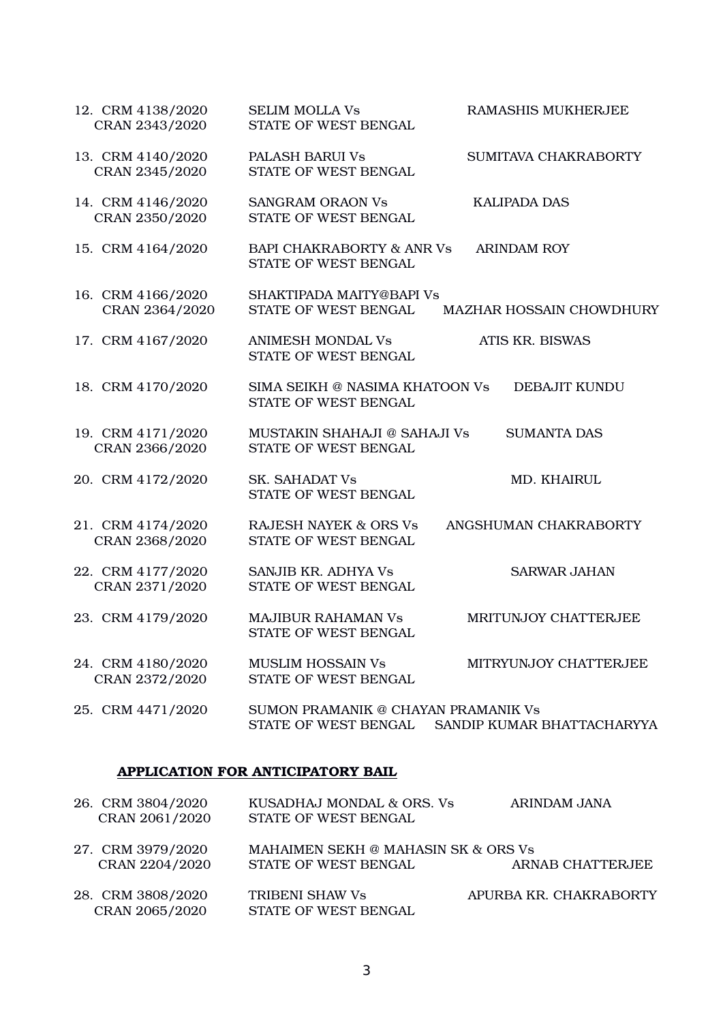| 12. CRM 4138/2020<br>CRAN 2343/2020 | <b>SELIM MOLLA Vs</b><br>STATE OF WEST BENGAL                | RAMASHIS MUKHERJEE              |
|-------------------------------------|--------------------------------------------------------------|---------------------------------|
| 13. CRM 4140/2020<br>CRAN 2345/2020 | <b>PALASH BARUI Vs</b><br>STATE OF WEST BENGAL               | SUMITAVA CHAKRABORTY            |
| 14. CRM 4146/2020<br>CRAN 2350/2020 | <b>SANGRAM ORAON Vs</b><br>STATE OF WEST BENGAL              | <b>KALIPADA DAS</b>             |
| 15. CRM 4164/2020                   | <b>BAPI CHAKRABORTY &amp; ANR Vs</b><br>STATE OF WEST BENGAL | <b>ARINDAM ROY</b>              |
| 16. CRM 4166/2020<br>CRAN 2364/2020 | SHAKTIPADA MAITY@BAPI Vs<br>STATE OF WEST BENGAL             | <b>MAZHAR HOSSAIN CHOWDHURY</b> |
| 17. CRM 4167/2020                   | <b>ANIMESH MONDAL Vs</b><br>STATE OF WEST BENGAL             | ATIS KR. BISWAS                 |
| 18. CRM 4170/2020                   | SIMA SEIKH @ NASIMA KHATOON Vs<br>STATE OF WEST BENGAL       | DEBAJIT KUNDU                   |
| 19. CRM 4171/2020<br>CRAN 2366/2020 | MUSTAKIN SHAHAJI @ SAHAJI Vs<br>STATE OF WEST BENGAL         | <b>SUMANTA DAS</b>              |
| 20. CRM 4172/2020                   | <b>SK. SAHADAT Vs</b><br>STATE OF WEST BENGAL                | <b>MD. KHAIRUL</b>              |
| 21. CRM 4174/2020<br>CRAN 2368/2020 | <b>RAJESH NAYEK &amp; ORS Vs</b><br>STATE OF WEST BENGAL     | ANGSHUMAN CHAKRABORTY           |
| 22. CRM 4177/2020<br>CRAN 2371/2020 | SANJIB KR. ADHYA Vs<br>STATE OF WEST BENGAL                  | <b>SARWAR JAHAN</b>             |
| 23. CRM 4179/2020                   | <b>MAJIBUR RAHAMAN Vs</b><br>STATE OF WEST BENGAL            | MRITUNJOY CHATTERJEE            |
| 24. CRM 4180/2020<br>CRAN 2372/2020 | <b>MUSLIM HOSSAIN Vs</b><br>STATE OF WEST BENGAL             | MITRYUNJOY CHATTERJEE           |
| 25. CRM 4471/2020                   | SUMON PRAMANIK @ CHAYAN PRAMANIK Vs<br>STATE OF WEST BENGAL  | SANDIP KUMAR BHATTACHARYYA      |

# APPLICATION FOR ANTICIPATORY BAIL

| 26. CRM 3804/2020                   | KUSADHAJ MONDAL & ORS. Vs               | ARINDAM JANA           |
|-------------------------------------|-----------------------------------------|------------------------|
| CRAN 2061/2020                      | STATE OF WEST BENGAL                    |                        |
| 27. CRM 3979/2020                   | MAHAIMEN SEKH @ MAHASIN SK & ORS Vs     |                        |
| CRAN 2204/2020                      | STATE OF WEST BENGAL                    | ARNAB CHATTERJEE       |
| 28. CRM 3808/2020<br>CRAN 2065/2020 | TRIBENI SHAW Vs<br>STATE OF WEST BENGAL | APURBA KR. CHAKRABORTY |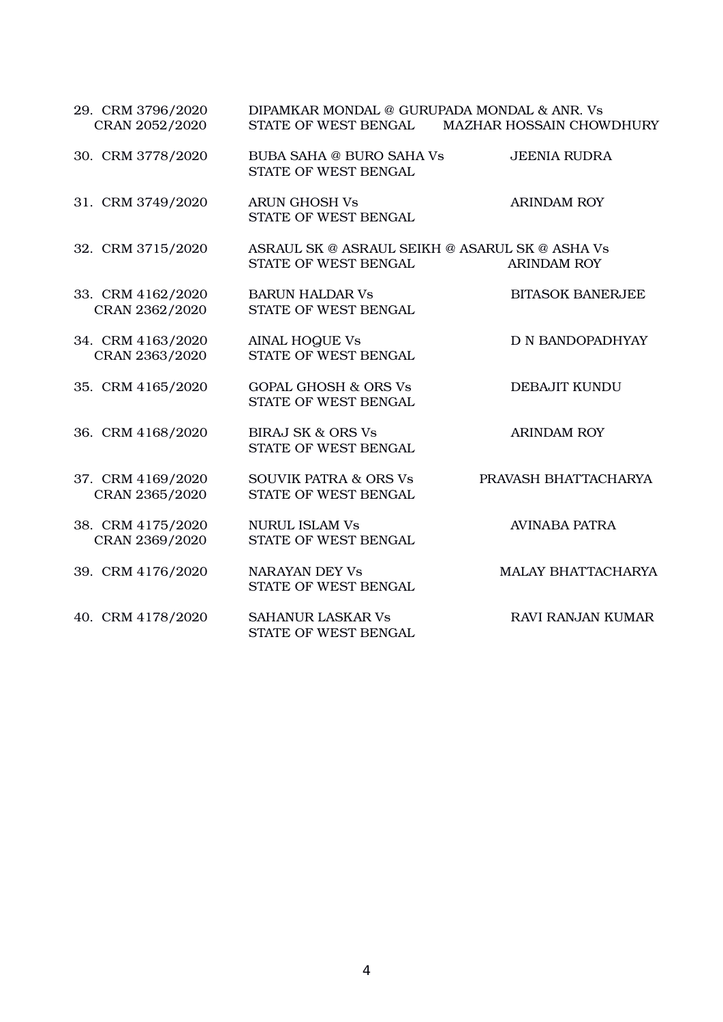| 29. CRM 3796/2020<br>CRAN 2052/2020 | DIPAMKAR MONDAL @ GURUPADA MONDAL & ANR. Vs<br>STATE OF WEST BENGAL    | <b>MAZHAR HOSSAIN CHOWDHURY</b> |
|-------------------------------------|------------------------------------------------------------------------|---------------------------------|
| 30. CRM 3778/2020                   | <b>BUBA SAHA @ BURO SAHA Vs</b><br>STATE OF WEST BENGAL                | <b>JEENIA RUDRA</b>             |
| 31. CRM 3749/2020                   | <b>ARUN GHOSH Vs</b><br>STATE OF WEST BENGAL                           | <b>ARINDAM ROY</b>              |
| 32. CRM 3715/2020                   | ASRAUL SK @ ASRAUL SEIKH @ ASARUL SK @ ASHA Vs<br>STATE OF WEST BENGAL | <b>ARINDAM ROY</b>              |
| 33. CRM 4162/2020<br>CRAN 2362/2020 | <b>BARUN HALDAR Vs</b><br>STATE OF WEST BENGAL                         | <b>BITASOK BANERJEE</b>         |
| 34. CRM 4163/2020<br>CRAN 2363/2020 | <b>AINAL HOQUE Vs</b><br>STATE OF WEST BENGAL                          | D N BANDOPADHYAY                |
| 35. CRM 4165/2020                   | <b>GOPAL GHOSH &amp; ORS Vs</b><br>STATE OF WEST BENGAL                | DEBAJIT KUNDU                   |
| 36. CRM 4168/2020                   | <b>BIRAJ SK &amp; ORS Vs</b><br>STATE OF WEST BENGAL                   | <b>ARINDAM ROY</b>              |
| 37. CRM 4169/2020<br>CRAN 2365/2020 | <b>SOUVIK PATRA &amp; ORS Vs</b><br>STATE OF WEST BENGAL               | PRAVASH BHATTACHARYA            |
| 38. CRM 4175/2020<br>CRAN 2369/2020 | <b>NURUL ISLAM Vs</b><br>STATE OF WEST BENGAL                          | <b>AVINABA PATRA</b>            |
| 39. CRM 4176/2020                   | <b>NARAYAN DEY Vs</b><br>STATE OF WEST BENGAL                          | <b>MALAY BHATTACHARYA</b>       |
| 40. CRM 4178/2020                   | <b>SAHANUR LASKAR Vs</b><br>STATE OF WEST BENGAL                       | <b>RAVI RANJAN KUMAR</b>        |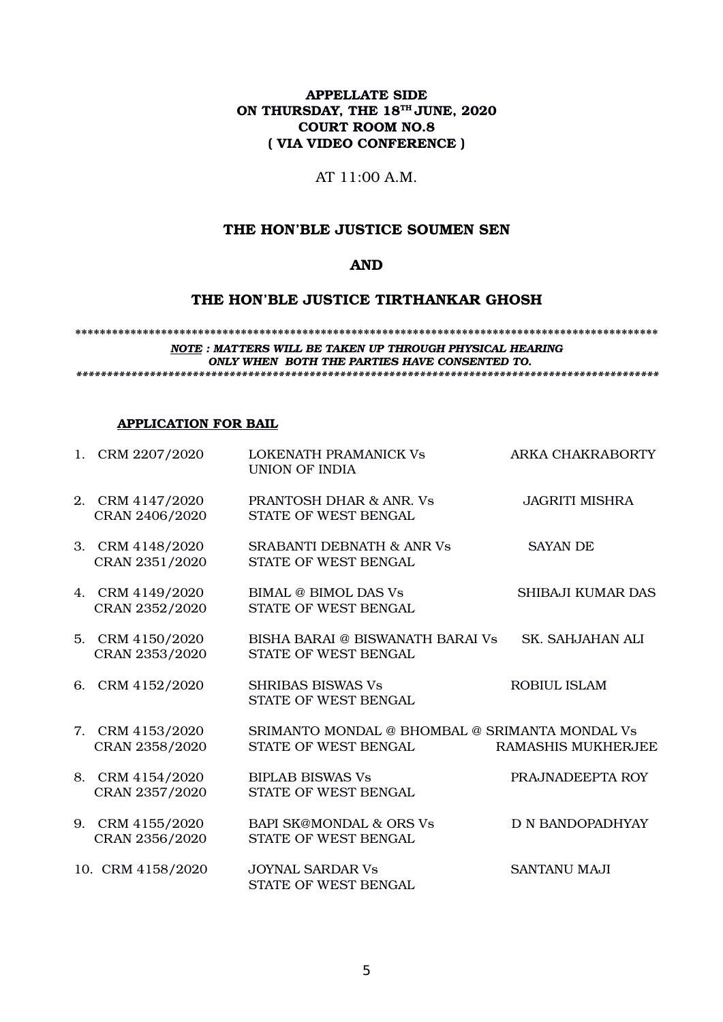## APPELLATE SIDE ON THURSDAY, THE 18<sup>TH</sup> JUNE, 2020 COURT ROOM NO.8 ( VIA VIDEO CONFERENCE )

## AT 11:00 A.M.

### THE HON'BLE JUSTICE SOUMEN SEN

## AND

# THE HON'BLE JUSTICE TIRTHANKAR GHOSH

#### \*\*\*\*\*\*\*\*\*\*\*\*\*\*\*\*\*\*\*\*\*\*\*\*\*\*\*\*\*\*\*\*\*\*\*\*\*\*\*\*\*\*\*\*\*\*\*\*\*\*\*\*\*\*\*\*\*\*\*\*\*\*\*\*\*\*\*\*\*\*\*\*\*\*\*\*\*\*\*\*\*\*\*\*\*\*\*\*\*\*\*\*\*\*\* *NOTE : MATTERS WILL BE TAKEN UP THROUGH PHYSICAL HEARING ONLY WHEN BOTH THE PARTIES HAVE CONSENTED TO.*

*\*\*\*\*\*\*\*\*\*\*\*\*\*\*\*\*\*\*\*\*\*\*\*\*\*\*\*\*\*\*\*\*\*\*\*\*\*\*\*\*\*\*\*\*\*\*\*\*\*\*\*\*\*\*\*\*\*\*\*\*\*\*\*\*\*\*\*\*\*\*\*\*\*\*\*\*\*\*\*\*\*\*\*\*\*\*\*\*\*\*\*\*\*\*\**

## APPLICATION FOR BAIL

| 1. CRM 2207/2020                   | LOKENATH PRAMANICK Vs<br><b>UNION OF INDIA</b>                         | ARKA CHAKRABORTY        |
|------------------------------------|------------------------------------------------------------------------|-------------------------|
| 2. CRM 4147/2020<br>CRAN 2406/2020 | <b>PRANTOSH DHAR &amp; ANR. Vs</b><br>STATE OF WEST BENGAL             | <b>JAGRITI MISHRA</b>   |
| 3. CRM 4148/2020<br>CRAN 2351/2020 | <b>SRABANTI DEBNATH &amp; ANR Vs</b><br>STATE OF WEST BENGAL           | <b>SAYAN DE</b>         |
| 4. CRM 4149/2020<br>CRAN 2352/2020 | <b>BIMAL @ BIMOL DAS Vs</b><br>STATE OF WEST BENGAL                    | SHIBAJI KUMAR DAS       |
| 5. CRM 4150/2020<br>CRAN 2353/2020 | BISHA BARAI @ BISWANATH BARAI Vs<br>STATE OF WEST BENGAL               | <b>SK. SAHJAHAN ALI</b> |
| 6. CRM 4152/2020                   | <b>SHRIBAS BISWAS Vs</b><br>STATE OF WEST BENGAL                       | <b>ROBIUL ISLAM</b>     |
| 7. CRM 4153/2020<br>CRAN 2358/2020 | SRIMANTO MONDAL @ BHOMBAL @ SRIMANTA MONDAL Vs<br>STATE OF WEST BENGAL | RAMASHIS MUKHERJEE      |
| 8. CRM 4154/2020<br>CRAN 2357/2020 | <b>BIPLAB BISWAS Vs</b><br>STATE OF WEST BENGAL                        | PRAJNADEEPTA ROY        |
| 9. CRM 4155/2020<br>CRAN 2356/2020 | <b>BAPI SK@MONDAL &amp; ORS Vs</b><br>STATE OF WEST BENGAL             | <b>D N BANDOPADHYAY</b> |
| 10. CRM 4158/2020                  | <b>JOYNAL SARDAR Vs</b><br>STATE OF WEST BENGAL                        | SANTANU MAJI            |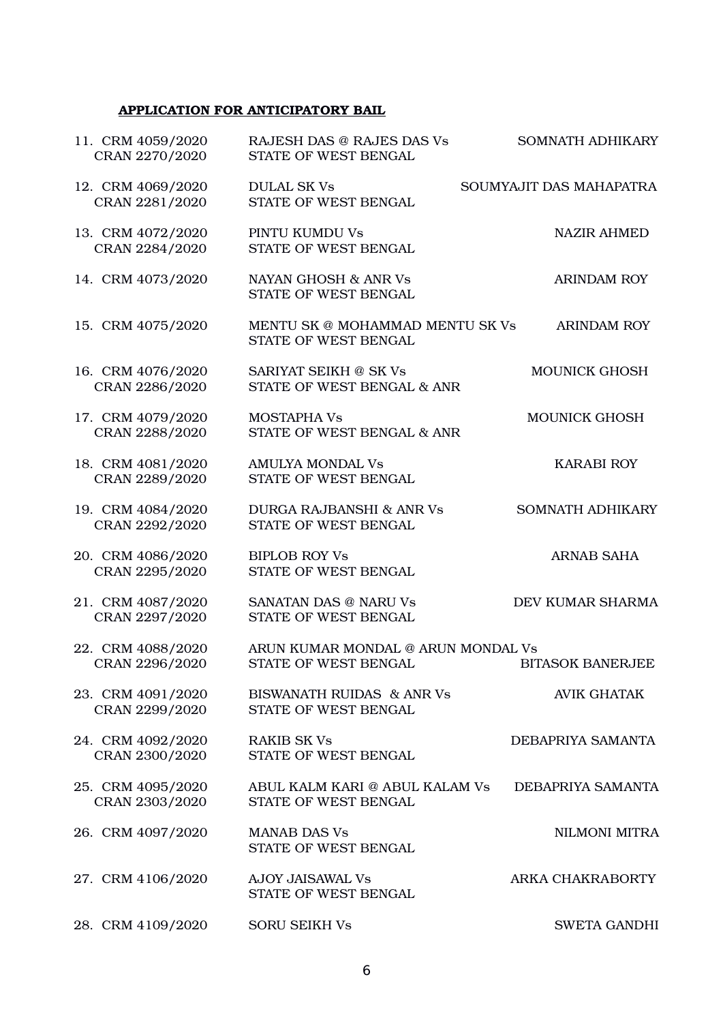# APPLICATION FOR ANTICIPATORY BAIL

| 11. CRM 4059/2020<br>CRAN 2270/2020 | RAJESH DAS @ RAJES DAS Vs<br>STATE OF WEST BENGAL           | <b>SOMNATH ADHIKARY</b> |
|-------------------------------------|-------------------------------------------------------------|-------------------------|
| 12. CRM 4069/2020<br>CRAN 2281/2020 | <b>DULAL SK Vs</b><br>STATE OF WEST BENGAL                  | SOUMYAJIT DAS MAHAPATRA |
| 13. CRM 4072/2020<br>CRAN 2284/2020 | PINTU KUMDU Vs<br>STATE OF WEST BENGAL                      | <b>NAZIR AHMED</b>      |
| 14. CRM 4073/2020                   | NAYAN GHOSH & ANR Vs<br>STATE OF WEST BENGAL                | <b>ARINDAM ROY</b>      |
| 15. CRM 4075/2020                   | MENTU SK @ MOHAMMAD MENTU SK Vs<br>STATE OF WEST BENGAL     | <b>ARINDAM ROY</b>      |
| 16. CRM 4076/2020<br>CRAN 2286/2020 | SARIYAT SEIKH @ SK Vs<br>STATE OF WEST BENGAL & ANR         | <b>MOUNICK GHOSH</b>    |
| 17. CRM 4079/2020<br>CRAN 2288/2020 | <b>MOSTAPHA Vs</b><br>STATE OF WEST BENGAL & ANR            | <b>MOUNICK GHOSH</b>    |
| 18. CRM 4081/2020<br>CRAN 2289/2020 | <b>AMULYA MONDAL Vs</b><br>STATE OF WEST BENGAL             | <b>KARABI ROY</b>       |
| 19. CRM 4084/2020<br>CRAN 2292/2020 | <b>DURGA RAJBANSHI &amp; ANR Vs</b><br>STATE OF WEST BENGAL | <b>SOMNATH ADHIKARY</b> |
| 20. CRM 4086/2020<br>CRAN 2295/2020 | <b>BIPLOB ROY Vs</b><br>STATE OF WEST BENGAL                | ARNAB SAHA              |
| 21. CRM 4087/2020<br>CRAN 2297/2020 | <b>SANATAN DAS @ NARU Vs</b><br>STATE OF WEST BENGAL        | DEV KUMAR SHARMA        |
| 22. CRM 4088/2020<br>CRAN 2296/2020 | ARUN KUMAR MONDAL @ ARUN MONDAL Vs<br>STATE OF WEST BENGAL  | <b>BITASOK BANERJEE</b> |
| 23. CRM 4091/2020<br>CRAN 2299/2020 | BISWANATH RUIDAS & ANR Vs<br>STATE OF WEST BENGAL           | <b>AVIK GHATAK</b>      |
| 24. CRM 4092/2020<br>CRAN 2300/2020 | <b>RAKIB SK Vs</b><br>STATE OF WEST BENGAL                  | DEBAPRIYA SAMANTA       |
| 25. CRM 4095/2020<br>CRAN 2303/2020 | ABUL KALM KARI @ ABUL KALAM Vs<br>STATE OF WEST BENGAL      | DEBAPRIYA SAMANTA       |
| 26. CRM 4097/2020                   | <b>MANAB DAS Vs</b><br>STATE OF WEST BENGAL                 | NILMONI MITRA           |
| 27. CRM 4106/2020                   | <b>AJOY JAISAWAL Vs</b><br>STATE OF WEST BENGAL             | ARKA CHAKRABORTY        |
| 28. CRM 4109/2020                   | <b>SORU SEIKH Vs</b>                                        | <b>SWETA GANDHI</b>     |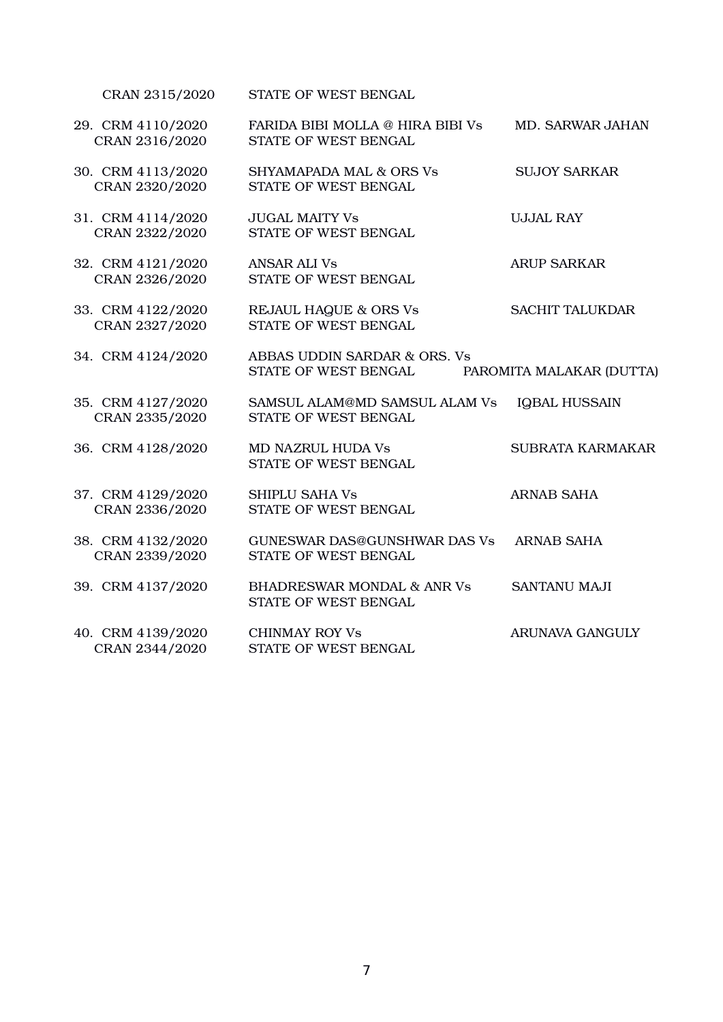| 29. CRM 4110/2020<br>CRAN 2316/2020 | FARIDA BIBI MOLLA @ HIRA BIBI Vs<br>STATE OF WEST BENGAL      | MD. SARWAR JAHAN         |
|-------------------------------------|---------------------------------------------------------------|--------------------------|
| 30. CRM 4113/2020<br>CRAN 2320/2020 | <b>SHYAMAPADA MAL &amp; ORS Vs</b><br>STATE OF WEST BENGAL    | <b>SUJOY SARKAR</b>      |
| 31. CRM 4114/2020<br>CRAN 2322/2020 | <b>JUGAL MAITY Vs</b><br>STATE OF WEST BENGAL                 | <b>UJJAL RAY</b>         |
| 32. CRM 4121/2020<br>CRAN 2326/2020 | <b>ANSAR ALI Vs</b><br>STATE OF WEST BENGAL                   | <b>ARUP SARKAR</b>       |
| 33. CRM 4122/2020<br>CRAN 2327/2020 | <b>REJAUL HAQUE &amp; ORS Vs</b><br>STATE OF WEST BENGAL      | <b>SACHIT TALUKDAR</b>   |
| 34. CRM 4124/2020                   | ABBAS UDDIN SARDAR & ORS. Vs<br>STATE OF WEST BENGAL          | PAROMITA MALAKAR (DUTTA) |
| 35. CRM 4127/2020<br>CRAN 2335/2020 | SAMSUL ALAM@MD SAMSUL ALAM Vs<br>STATE OF WEST BENGAL         | IQBAL HUSSAIN            |
| 36. CRM 4128/2020                   | <b>MD NAZRUL HUDA Vs</b><br>STATE OF WEST BENGAL              | <b>SUBRATA KARMAKAR</b>  |
| 37. CRM 4129/2020<br>CRAN 2336/2020 | <b>SHIPLU SAHA Vs</b><br>STATE OF WEST BENGAL                 | <b>ARNAB SAHA</b>        |
| 38. CRM 4132/2020<br>CRAN 2339/2020 | <b>GUNESWAR DAS@GUNSHWAR DAS Vs</b><br>STATE OF WEST BENGAL   | <b>ARNAB SAHA</b>        |
| 39. CRM 4137/2020                   | <b>BHADRESWAR MONDAL &amp; ANR Vs</b><br>STATE OF WEST BENGAL | <b>SANTANU MAJI</b>      |
| 40. CRM 4139/2020<br>CRAN 2344/2020 | <b>CHINMAY ROY Vs</b><br>STATE OF WEST BENGAL                 | <b>ARUNAVA GANGULY</b>   |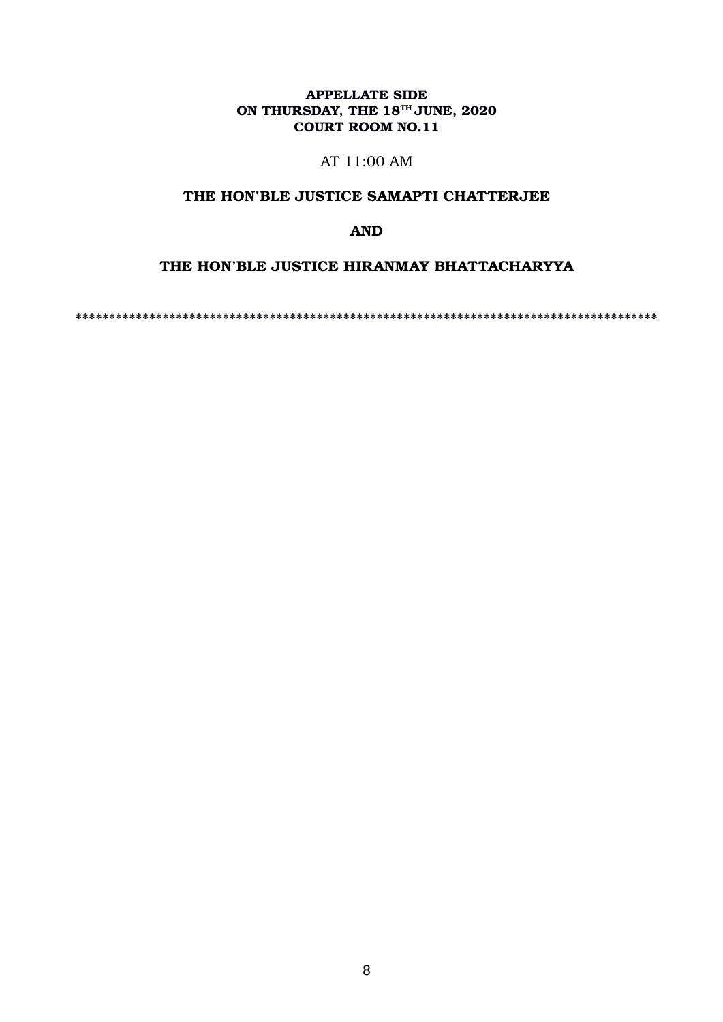# APPELLATE SIDE ON THURSDAY, THE  $18^{TH}$  JUNE, 2020 COURT ROOM NO.11

# AT 11:00 AM

# THE HON'BLE JUSTICE SAMAPTI CHATTERJEE

# AND

# THE HON'BLE JUSTICE HIRANMAY BHATTACHARYYA

\*\*\*\*\*\*\*\*\*\*\*\*\*\*\*\*\*\*\*\*\*\*\*\*\*\*\*\*\*\*\*\*\*\*\*\*\*\*\*\*\*\*\*\*\*\*\*\*\*\*\*\*\*\*\*\*\*\*\*\*\*\*\*\*\*\*\*\*\*\*\*\*\*\*\*\*\*\*\*\*\*\*\*\*\*\*\*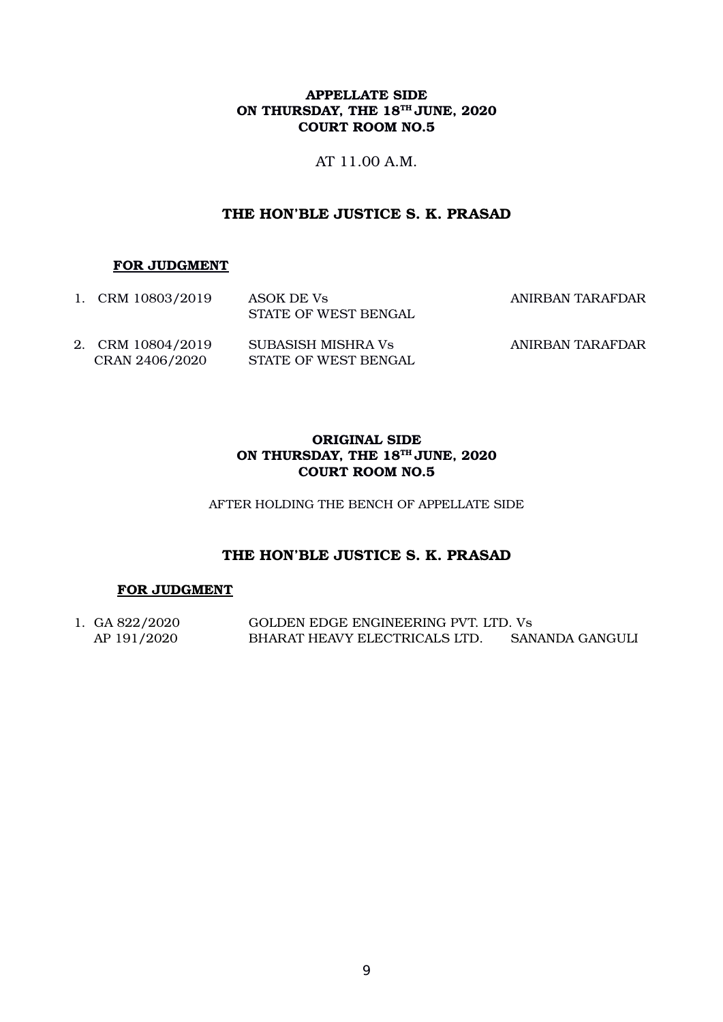## APPELLATE SIDE ON THURSDAY, THE  $18^{TH}$  JUNE, 2020 COURT ROOM NO.5

AT 11.00 A.M.

# THE HON'BLE JUSTICE S. K. PRASAD

### FOR JUDGMENT

| 1. CRM 10803/2019                   | ASOK DE Vs<br>STATE OF WEST BENGAL         | ANIRBAN TARAFDAR |
|-------------------------------------|--------------------------------------------|------------------|
| 2. CRM 10804/2019<br>CRAN 2406/2020 | SUBASISH MISHRA Vs<br>STATE OF WEST BENGAL | ANIRBAN TARAFDAR |

# ORIGINAL SIDE ON THURSDAY, THE 18<sup>TH</sup> JUNE, 2020 COURT ROOM NO.5

AFTER HOLDING THE BENCH OF APPELLATE SIDE

# THE HON'BLE JUSTICE S. K. PRASAD

# FOR JUDGMENT

1. GA 822/2020 GOLDEN EDGE ENGINEERING PVT. LTD. Vs AP 191/2020 BHARAT HEAVY ELECTRICALS LTD. SANANDA GANGULI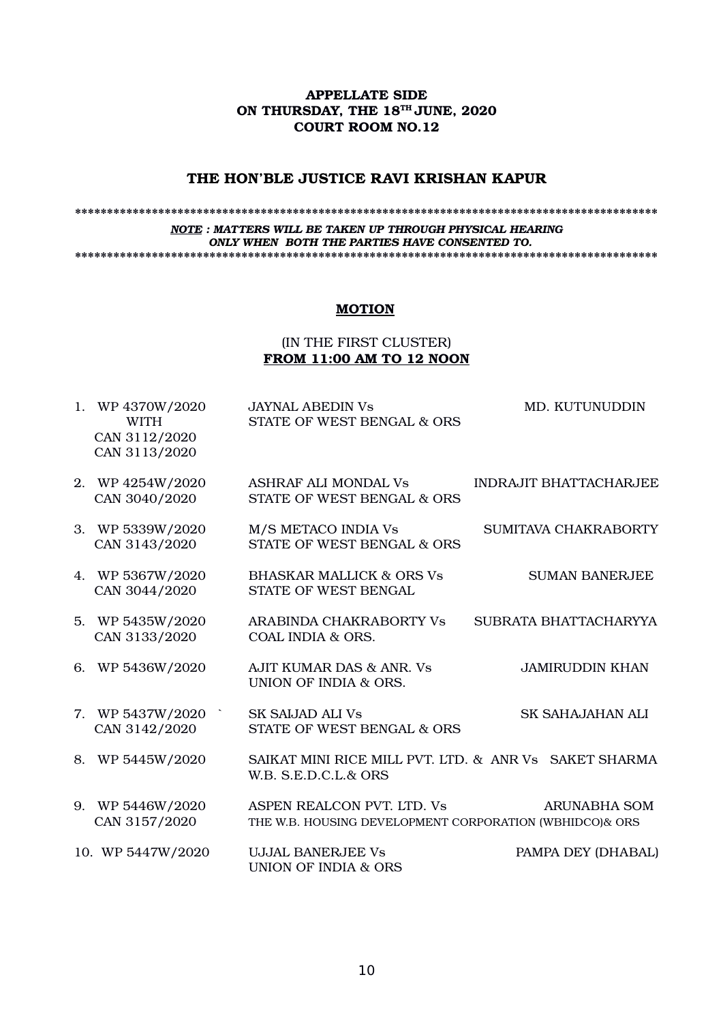### APPELLATE SIDE ON THURSDAY, THE 18<sup>TH</sup> JUNE, 2020 COURT ROOM NO.12

### THE HON'BLE JUSTICE RAVI KRISHAN KAPUR

#### \*\*\*\*\*\*\*\*\*\*\*\*\*\*\*\*\*\*\*\*\*\*\*\*\*\*\*\*\*\*\*\*\*\*\*\*\*\*\*\*\*\*\*\*\*\*\*\*\*\*\*\*\*\*\*\*\*\*\*\*\*\*\*\*\*\*\*\*\*\*\*\*\*\*\*\*\*\*\*\*\*\*\*\*\*\*\*\*\*\*\* *NOTE : MATTERS WILL BE TAKEN UP THROUGH PHYSICAL HEARING ONLY WHEN BOTH THE PARTIES HAVE CONSENTED TO.* \*\*\*\*\*\*\*\*\*\*\*\*\*\*\*\*\*\*\*\*\*\*\*\*\*\*\*\*\*\*\*\*\*\*\*\*\*\*\*\*\*\*\*\*\*\*\*\*\*\*\*\*\*\*\*\*\*\*\*\*\*\*\*\*\*\*\*\*\*\*\*\*\*\*\*\*\*\*\*\*\*\*\*\*\*\*\*\*\*\*\*

### **MOTION**

### (IN THE FIRST CLUSTER) FROM 11:00 AM TO 12 NOON

| 1. WP 4370W/2020<br><b>WITH</b><br>CAN 3112/2020<br>CAN 3113/2020 | <b>JAYNAL ABEDIN Vs</b><br>STATE OF WEST BENGAL & ORS                                 | <b>MD. KUTUNUDDIN</b>         |
|-------------------------------------------------------------------|---------------------------------------------------------------------------------------|-------------------------------|
| 2. WP 4254W/2020<br>CAN 3040/2020                                 | <b>ASHRAF ALI MONDAL Vs</b><br>STATE OF WEST BENGAL & ORS                             | <b>INDRAJIT BHATTACHARJEE</b> |
| 3. WP 5339W/2020<br>CAN 3143/2020                                 | M/S METACO INDIA Vs<br>STATE OF WEST BENGAL & ORS                                     | SUMITAVA CHAKRABORTY          |
| 4. WP 5367W/2020<br>CAN 3044/2020                                 | <b>BHASKAR MALLICK &amp; ORS Vs</b><br>STATE OF WEST BENGAL                           | <b>SUMAN BANERJEE</b>         |
| 5. WP 5435W/2020<br>CAN 3133/2020                                 | ARABINDA CHAKRABORTY Vs<br>COAL INDIA & ORS.                                          | SUBRATA BHATTACHARYYA         |
| 6. WP 5436W/2020                                                  | AJIT KUMAR DAS & ANR. Vs<br>UNION OF INDIA & ORS.                                     | <b>JAMIRUDDIN KHAN</b>        |
| 7. WP $5437W/2020$<br>CAN 3142/2020                               | <b>SK SAIJAD ALI Vs</b><br>STATE OF WEST BENGAL & ORS                                 | <b>SK SAHAJAHAN ALI</b>       |
| 8. WP 5445W/2020                                                  | SAIKAT MINI RICE MILL PVT. LTD. & ANR Vs SAKET SHARMA<br>W.B. S.E.D.C.L.& ORS         |                               |
| 9. WP 5446W/2020<br>CAN 3157/2020                                 | ASPEN REALCON PVT. LTD. Vs<br>THE W.B. HOUSING DEVELOPMENT CORPORATION (WBHIDCO)& ORS | <b>ARUNABHA SOM</b>           |
| 10. WP 5447W/2020                                                 | <b>UJJAL BANERJEE Vs</b><br><b>UNION OF INDIA &amp; ORS</b>                           | PAMPA DEY (DHABAL)            |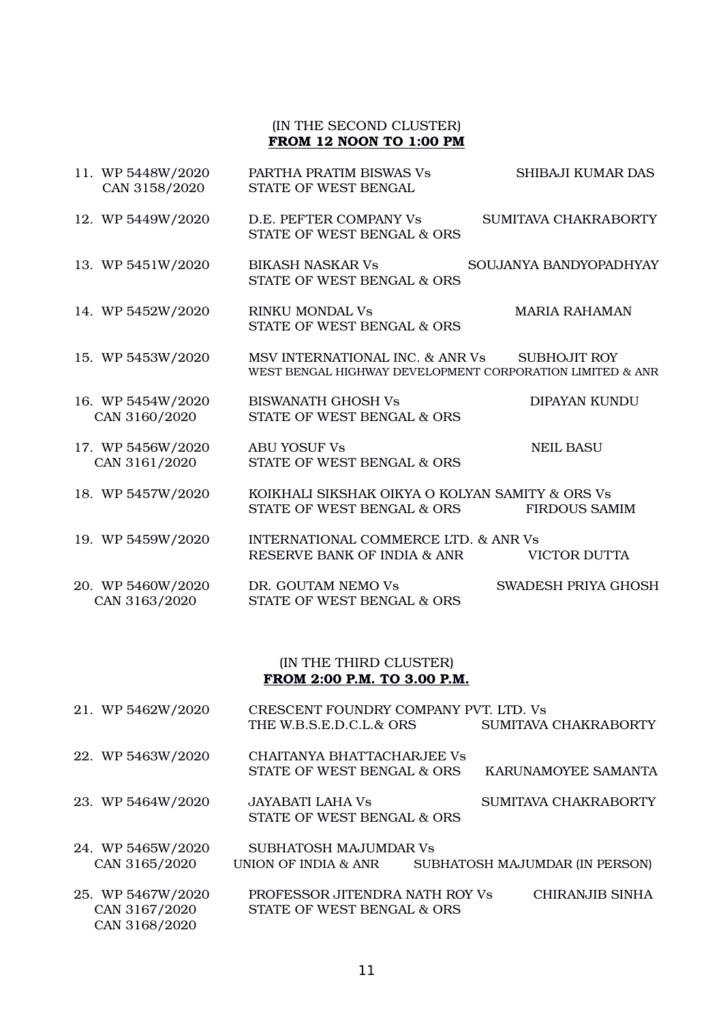# (IN THE SECOND CLUSTER) FROM 12 NOON TO 1:00 PM

| 11. WP 5448W/2020<br>CAN 3158/2020 | PARTHA PRATIM BISWAS Vs<br>STATE OF WEST BENGAL                                              | SHIBAJI KUMAR DAS      |
|------------------------------------|----------------------------------------------------------------------------------------------|------------------------|
| 12. WP 5449W/2020                  | D.E. PEFTER COMPANY Vs<br>STATE OF WEST BENGAL & ORS                                         | SUMITAVA CHAKRABORTY   |
| 13. WP 5451W/2020                  | <b>BIKASH NASKAR Vs</b><br>STATE OF WEST BENGAL & ORS                                        | SOUJANYA BANDYOPADHYAY |
| 14. WP 5452W/2020                  | <b>RINKU MONDAL Vs</b><br>STATE OF WEST BENGAL & ORS                                         | <b>MARIA RAHAMAN</b>   |
| 15. WP 5453W/2020                  | MSV INTERNATIONAL INC. & ANR Vs<br>WEST BENGAL HIGHWAY DEVELOPMENT CORPORATION LIMITED & ANR | <b>SUBHOJIT ROY</b>    |
| 16. WP 5454W/2020<br>CAN 3160/2020 | <b>BISWANATH GHOSH Vs</b><br>STATE OF WEST BENGAL & ORS                                      | <b>DIPAYAN KUNDU</b>   |
| 17. WP 5456W/2020<br>CAN 3161/2020 | <b>ABU YOSUF Vs</b><br>STATE OF WEST BENGAL & ORS                                            | <b>NEIL BASU</b>       |
| 18. WP 5457W/2020                  | KOIKHALI SIKSHAK OIKYA O KOLYAN SAMITY & ORS Vs<br>STATE OF WEST BENGAL & ORS                | <b>FIRDOUS SAMIM</b>   |
| 19. WP 5459W/2020                  | INTERNATIONAL COMMERCE LTD. & ANR Vs.<br>RESERVE BANK OF INDIA & ANR                         | <b>VICTOR DUTTA</b>    |
| 20. WP 5460W/2020<br>CAN 3163/2020 | DR. GOUTAM NEMO Vs<br>STATE OF WEST BENGAL & ORS                                             | SWADESH PRIYA GHOSH    |

# (IN THE THIRD CLUSTER) FROM 2:00 P.M. TO 3.00 P.M.

| 21. WP 5462W/2020                                   | CRESCENT FOUNDRY COMPANY PVT. LTD. Vs<br>THE W.B.S.E.D.C.L.& ORS | SUMITAVA CHAKRABORTY           |
|-----------------------------------------------------|------------------------------------------------------------------|--------------------------------|
| 22. WP 5463W/2020                                   | CHAITANYA BHATTACHARJEE Vs<br>STATE OF WEST BENGAL & ORS         | KARUNAMOYEE SAMANTA            |
| 23. WP 5464W/2020                                   | JAYABATI LAHA Vs<br>STATE OF WEST BENGAL & ORS                   | SUMITAVA CHAKRABORTY           |
| 24. WP 5465W/2020<br>CAN 3165/2020                  | SUBHATOSH MAJUMDAR Vs<br>UNION OF INDIA & ANR                    | SUBHATOSH MAJUMDAR (IN PERSON) |
| 25. WP 5467W/2020<br>CAN 3167/2020<br>CAN 3168/2020 | PROFESSOR JITENDRA NATH ROY Vs<br>STATE OF WEST BENGAL & ORS     | CHIRANJIB SINHA                |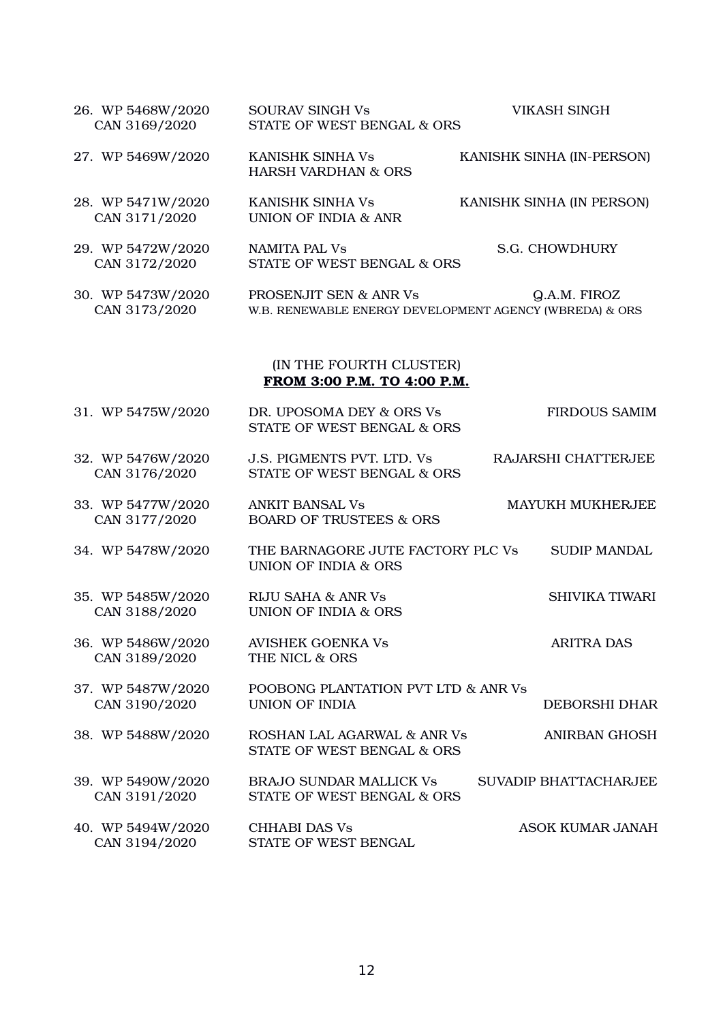| 26. WP 5468W/2020<br>CAN 3169/2020                     | <b>SOURAV SINGH Vs</b><br>STATE OF WEST BENGAL & ORS                              | <b>VIKASH SINGH</b>          |  |  |
|--------------------------------------------------------|-----------------------------------------------------------------------------------|------------------------------|--|--|
| 27. WP 5469W/2020                                      | <b>KANISHK SINHA Vs</b><br><b>HARSH VARDHAN &amp; ORS</b>                         | KANISHK SINHA (IN-PERSON)    |  |  |
| 28. WP 5471W/2020<br>CAN 3171/2020                     | KANISHK SINHA Vs<br><b>UNION OF INDIA &amp; ANR</b>                               | KANISHK SINHA (IN PERSON)    |  |  |
| 29. WP 5472W/2020<br>CAN 3172/2020                     | <b>NAMITA PAL Vs</b><br>STATE OF WEST BENGAL & ORS                                | S.G. CHOWDHURY               |  |  |
| 30. WP 5473W/2020<br>CAN 3173/2020                     | PROSENJIT SEN & ANR Vs<br>W.B. RENEWABLE ENERGY DEVELOPMENT AGENCY (WBREDA) & ORS | Q.A.M. FIROZ                 |  |  |
| (IN THE FOURTH CLUSTER)<br>FROM 3:00 P.M. TO 4:00 P.M. |                                                                                   |                              |  |  |
| 31. WP 5475W/2020                                      | DR. UPOSOMA DEY & ORS Vs<br>STATE OF WEST BENGAL & ORS                            | <b>FIRDOUS SAMIM</b>         |  |  |
| 32. WP 5476W/2020<br>CAN 3176/2020                     | J.S. PIGMENTS PVT. LTD. Vs<br>STATE OF WEST BENGAL & ORS                          | RAJARSHI CHATTERJEE          |  |  |
| 33. WP 5477W/2020<br>CAN 3177/2020                     | <b>ANKIT BANSAL Vs</b><br><b>BOARD OF TRUSTEES &amp; ORS</b>                      | MAYUKH MUKHERJEE             |  |  |
| 34. WP 5478W/2020                                      | THE BARNAGORE JUTE FACTORY PLC Vs<br><b>UNION OF INDIA &amp; ORS</b>              | <b>SUDIP MANDAL</b>          |  |  |
| 35. WP 5485W/2020<br>CAN 3188/2020                     | <b>RIJU SAHA &amp; ANR Vs</b><br><b>UNION OF INDIA &amp; ORS</b>                  | <b>SHIVIKA TIWARI</b>        |  |  |
| 36. WP 5486W/2020<br>CAN 3189/2020                     | <b>AVISHEK GOENKA Vs</b><br>THE NICL & ORS                                        | <b>ARITRA DAS</b>            |  |  |
| 37. WP 5487W/2020<br>CAN 3190/2020                     | POOBONG PLANTATION PVT LTD & ANR Vs<br><b>UNION OF INDIA</b>                      | <b>DEBORSHI DHAR</b>         |  |  |
| 38. WP 5488W/2020                                      | ROSHAN LAL AGARWAL & ANR Vs<br>STATE OF WEST BENGAL & ORS                         | <b>ANIRBAN GHOSH</b>         |  |  |
| 39. WP 5490W/2020<br>CAN 3191/2020                     | <b>BRAJO SUNDAR MALLICK Vs</b><br>STATE OF WEST BENGAL & ORS                      | <b>SUVADIP BHATTACHARJEE</b> |  |  |
| 40. WP 5494W/2020<br>CAN 3194/2020                     | <b>CHHABI DAS Vs</b><br>STATE OF WEST BENGAL                                      | <b>ASOK KUMAR JANAH</b>      |  |  |